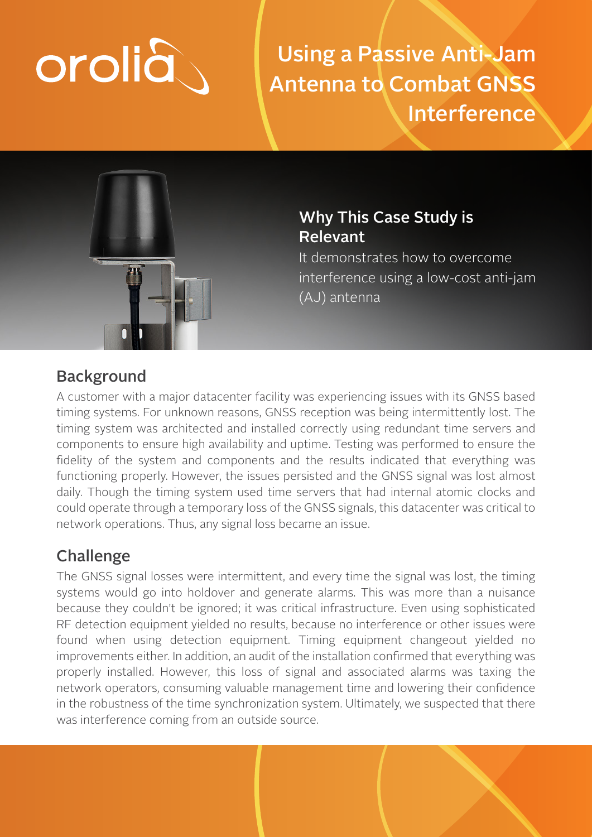# orolia

Using a Passive Anti-Jam Antenna to Combat GNSS Interference



## Why This Case Study is Relevant

It demonstrates how to overcome interference using a low-cost anti-jam (AJ) antenna

## **Background**

A customer with a major datacenter facility was experiencing issues with its GNSS based timing systems. For unknown reasons, GNSS reception was being intermittently lost. The timing system was architected and installed correctly using redundant time servers and components to ensure high availability and uptime. Testing was performed to ensure the fidelity of the system and components and the results indicated that everything was functioning properly. However, the issues persisted and the GNSS signal was lost almost daily. Though the timing system used time servers that had internal atomic clocks and could operate through a temporary loss of the GNSS signals, this datacenter was critical to network operations. Thus, any signal loss became an issue.

## Challenge

The GNSS signal losses were intermittent, and every time the signal was lost, the timing systems would go into holdover and generate alarms. This was more than a nuisance because they couldn't be ignored; it was critical infrastructure. Even using sophisticated RF detection equipment yielded no results, because no interference or other issues were found when using detection equipment. Timing equipment changeout yielded no improvements either. In addition, an audit of the installation confirmed that everything was properly installed. However, this loss of signal and associated alarms was taxing the network operators, consuming valuable management time and lowering their confidence in the robustness of the time synchronization system. Ultimately, we suspected that there was interference coming from an outside source.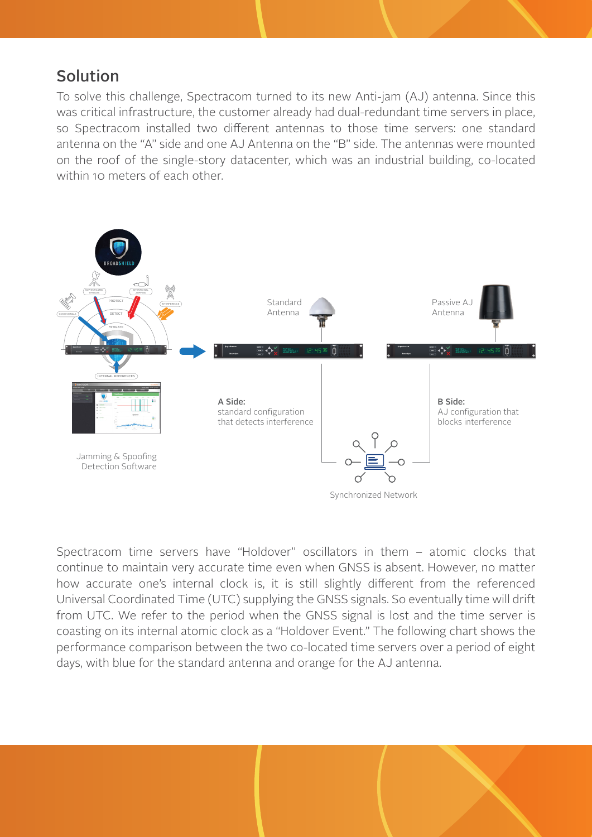### Solution

To solve this challenge, Spectracom turned to its new Anti-jam (AJ) antenna. Since this was critical infrastructure, the customer already had dual-redundant time servers in place, so Spectracom installed two different antennas to those time servers: one standard antenna on the "A" side and one AJ Antenna on the "B" side. The antennas were mounted on the roof of the single-story datacenter, which was an industrial building, co-located within 10 meters of each other.



Spectracom time servers have "Holdover" oscillators in them – atomic clocks that continue to maintain very accurate time even when GNSS is absent. However, no matter how accurate one's internal clock is, it is still slightly different from the referenced Universal Coordinated Time (UTC) supplying the GNSS signals. So eventually time will drift from UTC. We refer to the period when the GNSS signal is lost and the time server is coasting on its internal atomic clock as a "Holdover Event." The following chart shows the performance comparison between the two co-located time servers over a period of eight days, with blue for the standard antenna and orange for the AJ antenna.